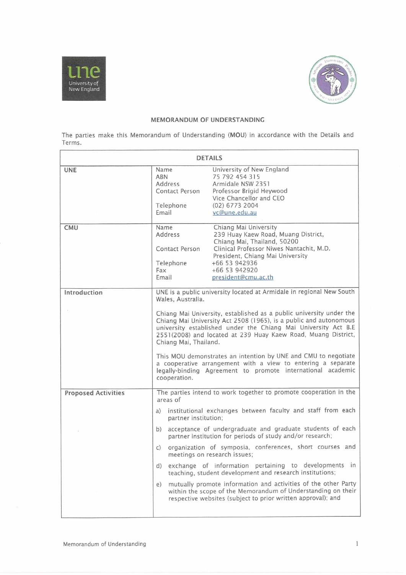



# MEMORANDUM OF UNDERSTANDING

|                                                                                                           |                                                       | MEMORANDUM OF UNDERSTANDING                                                                                                                                                                                                                                                 |
|-----------------------------------------------------------------------------------------------------------|-------------------------------------------------------|-----------------------------------------------------------------------------------------------------------------------------------------------------------------------------------------------------------------------------------------------------------------------------|
|                                                                                                           |                                                       | The parties make this Memorandum of Understanding (MOU) in accordance with the Details and                                                                                                                                                                                  |
|                                                                                                           |                                                       | <b>DETAILS</b>                                                                                                                                                                                                                                                              |
|                                                                                                           | Name<br>ABN<br>Address<br>Contact Person<br>Telephone | University of New England<br>75 792 454 315<br>Armidale NSW 2351<br>Professor Brigid Heywood<br>Vice Chancellor and CEO<br>(02) 6773 2004                                                                                                                                   |
|                                                                                                           | Email<br>Name<br>Address                              | vc@une.edu.au<br>Chiang Mai University<br>239 Huay Kaew Road, Muang District,                                                                                                                                                                                               |
|                                                                                                           | Contact Person<br>Telephone<br>Fax                    | Chiang Mai, Thailand, 50200<br>Clinical Professor Niwes Nantachit, M.D.<br>President, Chiang Mai University<br>+66 53 942936<br>+66 53 942920                                                                                                                               |
|                                                                                                           | Email<br>Wales, Australia.                            | president@cmu.ac.th<br>UNE is a public university located at Armidale in regional New South                                                                                                                                                                                 |
|                                                                                                           |                                                       | Chiang Mai University, established as a public university under the<br>Chiang Mai University Act 2508 (1965), is a public and autonomous<br>university established under the Chiang Mai University Act B.E<br>2551(2008) and located at 239 Huay Kaew Road, Muang District, |
|                                                                                                           | Chiang Mai, Thailand.<br>cooperation.                 | This MOU demonstrates an intention by UNE and CMU to negotiate<br>a cooperative arrangement with a view to entering a separate<br>legally-binding Agreement to promote international academic                                                                               |
|                                                                                                           | areas of                                              | The parties intend to work together to promote cooperation in the                                                                                                                                                                                                           |
|                                                                                                           | partner institution;                                  | a) institutional exchanges between faculty and staff from each                                                                                                                                                                                                              |
| University of<br>New England<br>Terms.<br><b>UNE</b><br>CMU<br>Introduction<br><b>Proposed Activities</b> |                                                       | b) acceptance of undergraduate and graduate students of each<br>partner institution for periods of study and/or research;                                                                                                                                                   |
|                                                                                                           | $\mathsf{C}$                                          | organization of symposia, conferences, short courses and<br>meetings on research issues;<br>d) exchange of information pertaining to developments in                                                                                                                        |
|                                                                                                           |                                                       | teaching, student development and research institutions;<br>e) mutually promote information and activities of the other Party<br>within the scope of the Memorandum of Understanding on their<br>respective websites (subject to prior written approval); and               |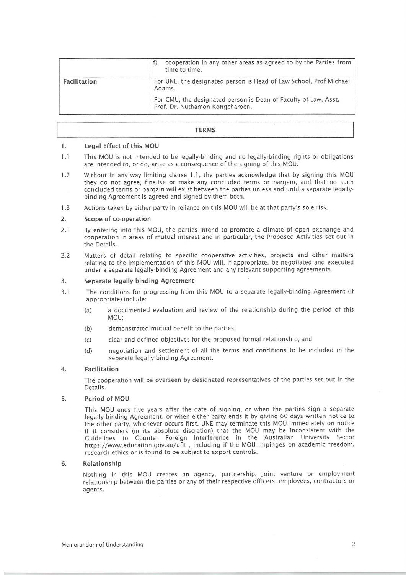| Facilitation | cooperation in any other areas as agreed to by the Parties from<br>f<br>time to time.<br>For UNE, the designated person is Head of Law School, Prof Michael<br>Adams. |
|--------------|-----------------------------------------------------------------------------------------------------------------------------------------------------------------------|
|              | For CMU, the designated person is Dean of Faculty of Law, Asst.<br>Prof. Dr. Nuthamon Kongcharoen.                                                                    |

## **TERMS**

#### $\mathbf{I}$ . Legal Effect of this MOU

- $1.1$ This MOU is not intended to be legally-binding and no legally-binding rights or obligations are intended to, or do, arise as a consequence of the signing of this MOU.
- $1.2$ Without in any way limiting clause 1.1, the parties acknowledge that by signing this MOU they do not agree, finalise or make any concluded terms or bargain, and that no such concluded terms or bargain will exist between the parties unless and until a separate legallybinding Agreement is agreed and signed by them both.
- 1.3 Actions taken by either party in reliance on this MOUwill be at that party's sole risk.

#### $2.$ Scope of co-operation

- 2.1 By entering into this MOU, the parties intend to promote a climate of open exchange and cooperation in areas of mutual interest and in particular, the Proposed Activities set out in the Details.
- 2.2 Matters of detail relating to specific cooperative activities, projects and other matters relating to the implementation of this MOU will, if appropriate, be negotiated and executed under a separate legally-binding Agreement and any relevant supporting agreements.

#### $3.$ Separate legally-binding Agreement

- $3.1$ The conditions for progressing from this MOU to <sup>a</sup> separate legally-binding Agreement (if appropriate) include:
	- (a) a documented evaluation and review of the relationship during the period of this MOU;
	- (b) demonstrated mutual benefit to the parties;
	- (c) clear and defined objectives for the proposed formal relationship; and
	- (d) negotiation and settlement of all the terms and conditions to be included in the separate legally-binding Agreement.

### $\overline{4}$ . Facilitation

The cooperation will be overseen by designated representatives of the parties set out in the Details.

### 5. Period of MOU

This MOU ends five years after the date of signing, or when the parties sign <sup>a</sup> separate legally-binding Agreement, or when either party ends it by giving 60 days written notice to the other party, whichever occurs first. UNE may terminate this MOU immediately on notice if it considers (in its absolute discretion) that the MOU may be inconsistent with the Guidelines to Counter Foreign Interference in the Australian University Sector https://www.education.gov.au/ufit , including if the MOU impinges on academic freedom, research ethics or is found to be subject to export controls.

#### 6. Relationship

Nothing in this MOU creates an agency, partnership, joint venture or employment relationship between the parties or any of their respective officers, employees, contractors or agents.

. .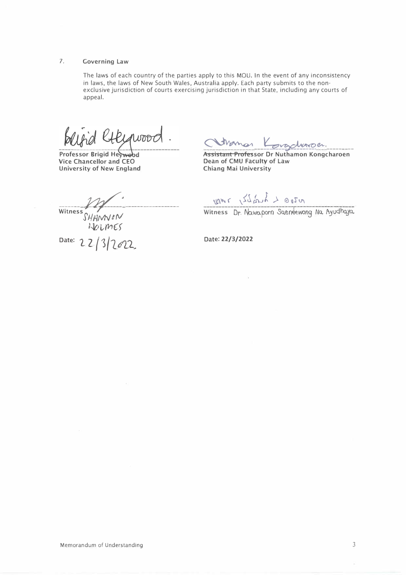# **7. Governing Law**

The laws of each country of the parties apply to this MOU. In the event of any inconsistency in laws, the laws of New South Wales, Australia apply. Each party submits to the nonexclusive jurisdiction of courts exercising jurisdiction in that State, including any courts of appeal.

WOOD

**Professor Brigid Heywood Vice Chancellor and CEO University of New England**

**Assistant Professor Dr Nuthamon Kongcharoen Dean of CMU Faculty of Law Chiang Mai University**

**Witness** SHANNEN

*l�t,11t16"f* Date: 22/3/2022

 $\mu_{1}$  (  $\sqrt{2}$  *i*)  $\lambda \neq 0$  (  $\lambda$  r  $\alpha$ 

Witness Dr. Nawaporn Saeneewong Na Ayudhaya.

**Date: 22/3/2022**

*3*